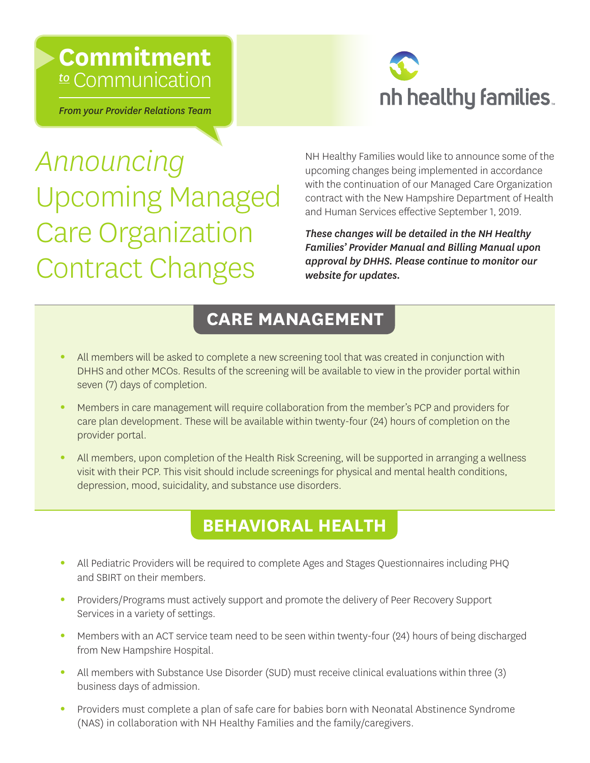## **Commitment**  *to* Communication

*From your Provider Relations Team* 



*Announcing* Upcoming Managed Care Organization Contract Changes

NH Healthy Families would like to announce some of the upcoming changes being implemented in accordance with the continuation of our Managed Care Organization contract with the New Hampshire Department of Health and Human Services efective September 1, 2019.

*These changes will be detailed in the NH Healthy Families' Provider Manual and Billing Manual upon approval by DHHS. Please continue to monitor our [website](https://www.nhhealthyfamilies.com/providers.html) for updates.* 

### **CARE MANAGEMENT**

- All members will be asked to complete a new screening tool that was created in conjunction with DHHS and other MCOs. Results of the screening will be available to view in the provider portal within seven (7) days of completion.
- Members in care management will require collaboration from the member's PCP and providers for care plan development. These will be available within twenty-four (24) hours of completion on the provider portal.
- All members, upon completion of the Health Risk Screening, will be supported in arranging a wellness visit with their PCP. This visit should include screenings for physical and mental health conditions, depression, mood, suicidality, and substance use disorders.

### **BEHAVIORAL HEALTH**

- All Pediatric Providers will be required to complete Ages and Stages Questionnaires including PHQ and SBIRT on their members.
- Providers/Programs must actively support and promote the delivery of Peer Recovery Support Services in a variety of settings.
- Members with an ACT service team need to be seen within twenty-four (24) hours of being discharged from New Hampshire Hospital.
- All members with Substance Use Disorder (SUD) must receive clinical evaluations within three (3) business days of admission.
- Providers must complete a plan of safe care for babies born with Neonatal Abstinence Syndrome (NAS) in collaboration with NH Healthy Families and the family/caregivers.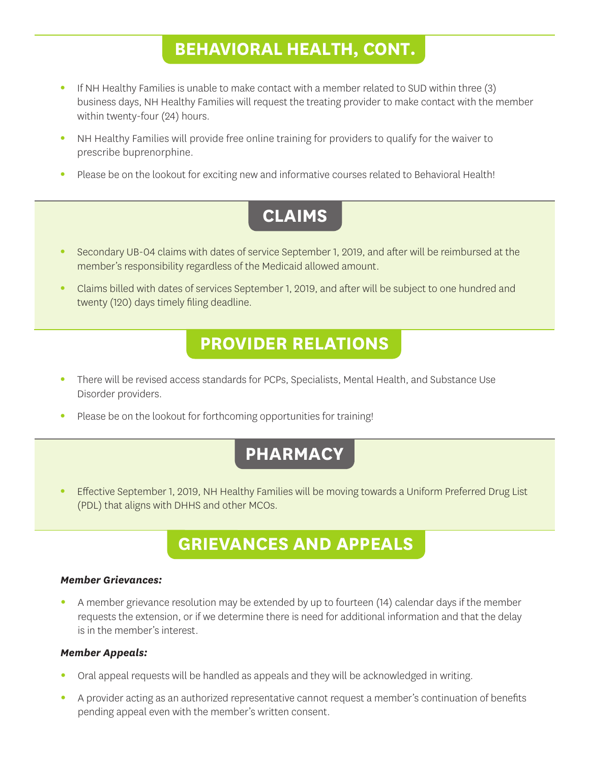### **BEHAVIORAL HEALTH, CONT.**

- If NH Healthy Families is unable to make contact with a member related to SUD within three (3) business days, NH Healthy Families will request the treating provider to make contact with the member within twenty-four (24) hours.
- NH Healthy Families will provide free online training for providers to qualify for the waiver to prescribe buprenorphine.
- Please be on the lookout for exciting new and informative courses related to Behavioral Health!

## **CLAIMS**

- Secondary UB-04 claims with dates of service September 1, 2019, and after will be reimbursed at the member's responsibility regardless of the Medicaid allowed amount.
- Claims billed with dates of services September 1, 2019, and after will be subject to one hundred and twenty (120) days timely fling deadline.

#### **PROVIDER RELATIONS**

- There will be revised access standards for PCPs, Specialists, Mental Health, and Substance Use Disorder providers.
- Please be on the lookout for forthcoming opportunities for training!

### **PHARMACY**

**•** Efective September 1, 2019, NH Healthy Families will be moving towards a Uniform Preferred Drug List (PDL) that aligns with DHHS and other MCOs.

### **GRIEVANCES AND APPEALS**

#### *Member Grievances:*

**•** A member grievance resolution may be extended by up to fourteen (14) calendar days if the member requests the extension, or if we determine there is need for additional information and that the delay is in the member's interest.

#### *Member Appeals:*

- Oral appeal requests will be handled as appeals and they will be acknowledged in writing.
- A provider acting as an authorized representative cannot request a member's continuation of benefts pending appeal even with the member's written consent.